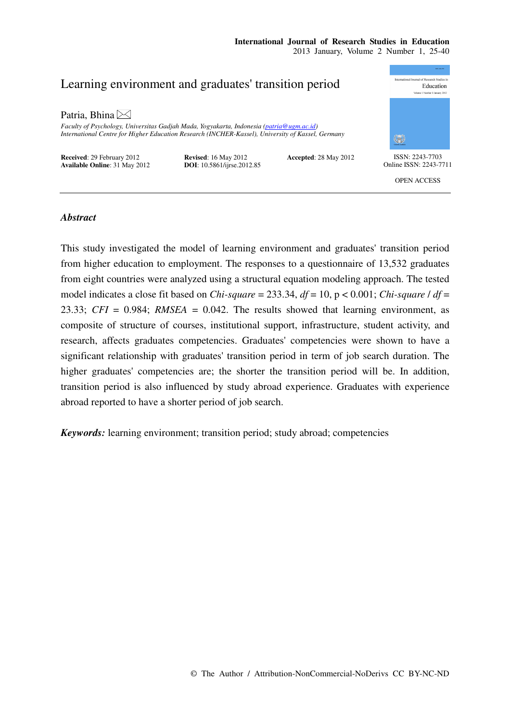

# *Abstract*

This study investigated the model of learning environment and graduates' transition period from higher education to employment. The responses to a questionnaire of 13,532 graduates from eight countries were analyzed using a structural equation modeling approach. The tested model indicates a close fit based on *Chi-square* = 233.34, *df* = 10, p < 0.001; *Chi-square* / *df* = 23.33; *CFI* = 0.984; *RMSEA* = 0.042. The results showed that learning environment, as composite of structure of courses, institutional support, infrastructure, student activity, and research, affects graduates competencies. Graduates' competencies were shown to have a significant relationship with graduates' transition period in term of job search duration. The higher graduates' competencies are; the shorter the transition period will be. In addition, transition period is also influenced by study abroad experience. Graduates with experience abroad reported to have a shorter period of job search.

*Keywords:* learning environment; transition period; study abroad; competencies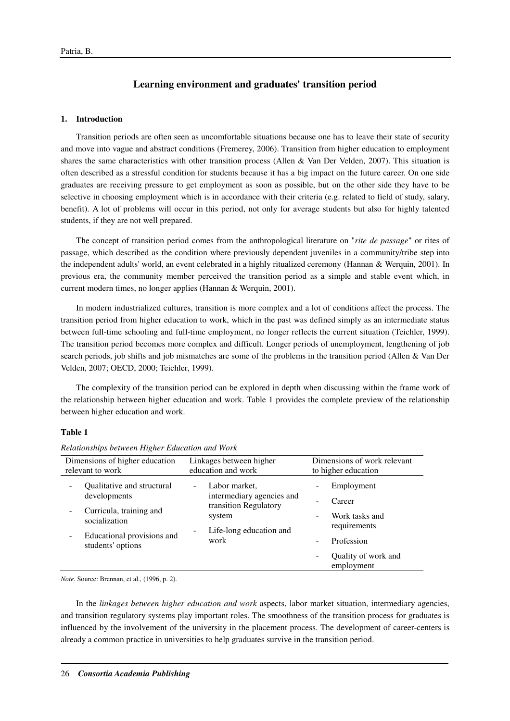# **Learning environment and graduates' transition period**

### **1. Introduction**

Transition periods are often seen as uncomfortable situations because one has to leave their state of security and move into vague and abstract conditions (Fremerey, 2006). Transition from higher education to employment shares the same characteristics with other transition process (Allen & Van Der Velden, 2007). This situation is often described as a stressful condition for students because it has a big impact on the future career. On one side graduates are receiving pressure to get employment as soon as possible, but on the other side they have to be selective in choosing employment which is in accordance with their criteria (e.g. related to field of study, salary, benefit). A lot of problems will occur in this period, not only for average students but also for highly talented students, if they are not well prepared.

The concept of transition period comes from the anthropological literature on "*rite de passage*" or rites of passage, which described as the condition where previously dependent juveniles in a community/tribe step into the independent adults' world, an event celebrated in a highly ritualized ceremony (Hannan & Werquin, 2001). In previous era, the community member perceived the transition period as a simple and stable event which, in current modern times, no longer applies (Hannan & Werquin, 2001).

In modern industrialized cultures, transition is more complex and a lot of conditions affect the process. The transition period from higher education to work, which in the past was defined simply as an intermediate status between full-time schooling and full-time employment, no longer reflects the current situation (Teichler, 1999). The transition period becomes more complex and difficult. Longer periods of unemployment, lengthening of job search periods, job shifts and job mismatches are some of the problems in the transition period (Allen & Van Der Velden, 2007; OECD, 2000; Teichler, 1999).

The complexity of the transition period can be explored in depth when discussing within the frame work of the relationship between higher education and work. Table 1 provides the complete preview of the relationship between higher education and work.

# **Table 1**

| Dimensions of higher education<br>relevant to work                                                                                        | Linkages between higher<br>education and work                                                                         | Dimensions of work relevant<br>to higher education                                                        |  |  |  |
|-------------------------------------------------------------------------------------------------------------------------------------------|-----------------------------------------------------------------------------------------------------------------------|-----------------------------------------------------------------------------------------------------------|--|--|--|
| Qualitative and structural<br>developments<br>Curricula, training and<br>socialization<br>Educational provisions and<br>students' options | Labor market,<br>٠<br>intermediary agencies and<br>transition Regulatory<br>system<br>Life-long education and<br>work | Employment<br>Career<br>Work tasks and<br>requirements<br>Profession<br>Quality of work and<br>employment |  |  |  |

### *Relationships between Higher Education and Work*

*Note.* Source: Brennan, et al., (1996, p. 2).

In the *linkages between higher education and work* aspects, labor market situation, intermediary agencies, and transition regulatory systems play important roles. The smoothness of the transition process for graduates is influenced by the involvement of the university in the placement process. The development of career-centers is already a common practice in universities to help graduates survive in the transition period.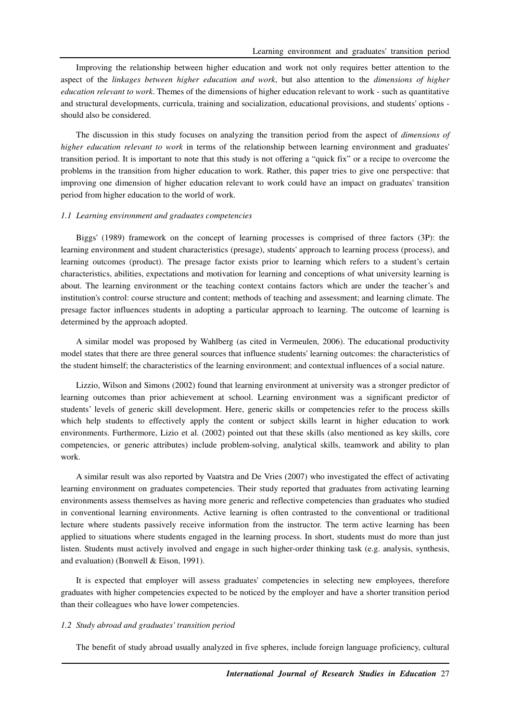Improving the relationship between higher education and work not only requires better attention to the aspect of the *linkages between higher education and work*, but also attention to the *dimensions of higher education relevant to work*. Themes of the dimensions of higher education relevant to work - such as quantitative and structural developments, curricula, training and socialization, educational provisions, and students' options should also be considered.

The discussion in this study focuses on analyzing the transition period from the aspect of *dimensions of higher education relevant to work* in terms of the relationship between learning environment and graduates' transition period. It is important to note that this study is not offering a "quick fix" or a recipe to overcome the problems in the transition from higher education to work. Rather, this paper tries to give one perspective: that improving one dimension of higher education relevant to work could have an impact on graduates' transition period from higher education to the world of work.

#### *1.1 Learning environment and graduates competencies*

Biggs' (1989) framework on the concept of learning processes is comprised of three factors (3P): the learning environment and student characteristics (presage), students' approach to learning process (process), and learning outcomes (product). The presage factor exists prior to learning which refers to a student's certain characteristics, abilities, expectations and motivation for learning and conceptions of what university learning is about. The learning environment or the teaching context contains factors which are under the teacher's and institution's control: course structure and content; methods of teaching and assessment; and learning climate. The presage factor influences students in adopting a particular approach to learning. The outcome of learning is determined by the approach adopted.

A similar model was proposed by Wahlberg (as cited in Vermeulen, 2006). The educational productivity model states that there are three general sources that influence students' learning outcomes: the characteristics of the student himself; the characteristics of the learning environment; and contextual influences of a social nature.

Lizzio, Wilson and Simons (2002) found that learning environment at university was a stronger predictor of learning outcomes than prior achievement at school. Learning environment was a significant predictor of students' levels of generic skill development. Here, generic skills or competencies refer to the process skills which help students to effectively apply the content or subject skills learnt in higher education to work environments. Furthermore, Lizio et al. (2002) pointed out that these skills (also mentioned as key skills, core competencies, or generic attributes) include problem-solving, analytical skills, teamwork and ability to plan work.

A similar result was also reported by Vaatstra and De Vries (2007) who investigated the effect of activating learning environment on graduates competencies. Their study reported that graduates from activating learning environments assess themselves as having more generic and reflective competencies than graduates who studied in conventional learning environments. Active learning is often contrasted to the conventional or traditional lecture where students passively receive information from the instructor. The term active learning has been applied to situations where students engaged in the learning process. In short, students must do more than just listen. Students must actively involved and engage in such higher-order thinking task (e.g. analysis, synthesis, and evaluation) (Bonwell & Eison, 1991).

It is expected that employer will assess graduates' competencies in selecting new employees, therefore graduates with higher competencies expected to be noticed by the employer and have a shorter transition period than their colleagues who have lower competencies.

#### *1.2 Study abroad and graduates' transition period*

The benefit of study abroad usually analyzed in five spheres, include foreign language proficiency, cultural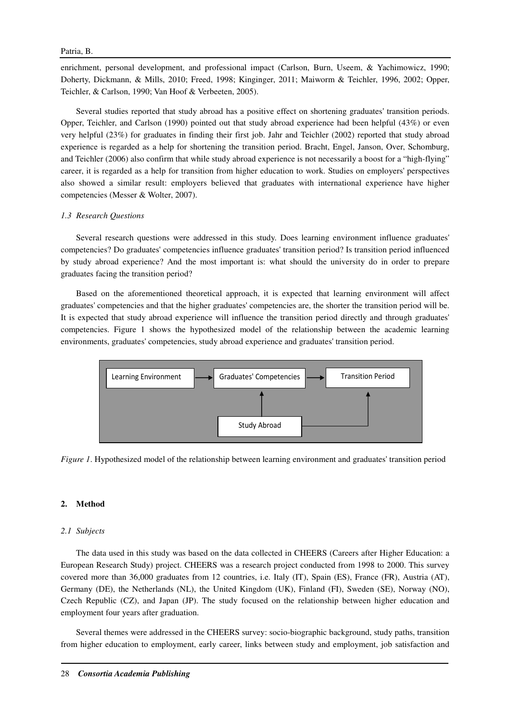#### Patria, B.

enrichment, personal development, and professional impact (Carlson, Burn, Useem, & Yachimowicz, 1990; Doherty, Dickmann, & Mills, 2010; Freed, 1998; Kinginger, 2011; Maiworm & Teichler, 1996, 2002; Opper, Teichler, & Carlson, 1990; Van Hoof & Verbeeten, 2005).

Several studies reported that study abroad has a positive effect on shortening graduates' transition periods. Opper, Teichler, and Carlson (1990) pointed out that study abroad experience had been helpful (43%) or even very helpful (23%) for graduates in finding their first job. Jahr and Teichler (2002) reported that study abroad experience is regarded as a help for shortening the transition period. Bracht, Engel, Janson, Over, Schomburg, and Teichler (2006) also confirm that while study abroad experience is not necessarily a boost for a "high-flying" career, it is regarded as a help for transition from higher education to work. Studies on employers' perspectives also showed a similar result: employers believed that graduates with international experience have higher competencies (Messer & Wolter, 2007).

### *1.3 Research Questions*

Several research questions were addressed in this study. Does learning environment influence graduates' competencies? Do graduates' competencies influence graduates' transition period? Is transition period influenced by study abroad experience? And the most important is: what should the university do in order to prepare graduates facing the transition period?

Based on the aforementioned theoretical approach, it is expected that learning environment will affect graduates' competencies and that the higher graduates' competencies are, the shorter the transition period will be. It is expected that study abroad experience will influence the transition period directly and through graduates' competencies. Figure 1 shows the hypothesized model of the relationship between the academic learning environments, graduates' competencies, study abroad experience and graduates' transition period.



*Figure 1*. Hypothesized model of the relationship between learning environment and graduates' transition period

### **2. Method**

### *2.1 Subjects*

The data used in this study was based on the data collected in CHEERS (Careers after Higher Education: a European Research Study) project. CHEERS was a research project conducted from 1998 to 2000. This survey covered more than 36,000 graduates from 12 countries, i.e. Italy (IT), Spain (ES), France (FR), Austria (AT), Germany (DE), the Netherlands (NL), the United Kingdom (UK), Finland (FI), Sweden (SE), Norway (NO), Czech Republic (CZ), and Japan (JP). The study focused on the relationship between higher education and employment four years after graduation.

Several themes were addressed in the CHEERS survey: socio-biographic background, study paths, transition from higher education to employment, early career, links between study and employment, job satisfaction and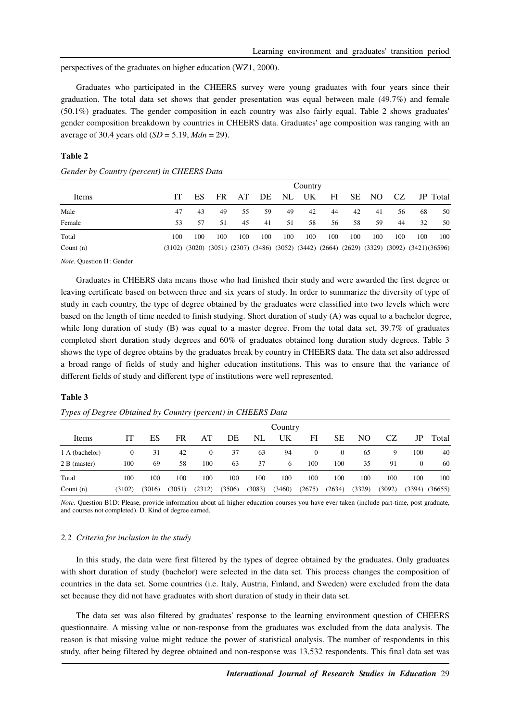perspectives of the graduates on higher education (WZ1, 2000).

Graduates who participated in the CHEERS survey were young graduates with four years since their graduation. The total data set shows that gender presentation was equal between male (49.7%) and female (50.1%) graduates. The gender composition in each country was also fairly equal. Table 2 shows graduates' gender composition breakdown by countries in CHEERS data. Graduates' age composition was ranging with an average of 30.4 years old (*SD* = 5.19, *Mdn* = 29).

|             |     |                                                                                            |     |     |     |     | Country |     |     |     |     |     |          |
|-------------|-----|--------------------------------------------------------------------------------------------|-----|-----|-----|-----|---------|-----|-----|-----|-----|-----|----------|
| Items       |     | ES                                                                                         | FR. | AT  | DE  | NL  | UK      | FI  | SЕ  | NO. | CZ. |     | JP Total |
| Male        | 47  | 43                                                                                         | 49  | 55  | 59  | 49  | 42      | 44  | 42  | 41  | 56  | 68  | 50       |
| Female      | 53  | 57                                                                                         | 51  | 45  | 41  | 51  | 58      | 56  | 58  | 59  | 44  | 32  | 50       |
| Total       | 100 | 100                                                                                        | 100 | 100 | 100 | 100 | 100     | 100 | 100 | 100 | 100 | 100 | 100      |
| Count $(n)$ |     | (3102) (3020) (3051) (2307) (3486) (3052) (3442) (2664) (2629) (3329) (3092) (3421)(36596) |     |     |     |     |         |     |     |     |     |     |          |

#### **Table 2**

|  |  | Gender by Country (percent) in CHEERS Data |
|--|--|--------------------------------------------|
|  |  |                                            |

*Note*. Question I1: Gender

Graduates in CHEERS data means those who had finished their study and were awarded the first degree or leaving certificate based on between three and six years of study. In order to summarize the diversity of type of study in each country, the type of degree obtained by the graduates were classified into two levels which were based on the length of time needed to finish studying. Short duration of study (A) was equal to a bachelor degree, while long duration of study (B) was equal to a master degree. From the total data set, 39.7% of graduates completed short duration study degrees and 60% of graduates obtained long duration study degrees. Table 3 shows the type of degree obtains by the graduates break by country in CHEERS data. The data set also addressed a broad range of fields of study and higher education institutions. This was to ensure that the variance of different fields of study and different type of institutions were well represented.

#### **Table 3**

|                | Country |        |        |              |        |        |        |              |                |        |        |          |         |
|----------------|---------|--------|--------|--------------|--------|--------|--------|--------------|----------------|--------|--------|----------|---------|
| Items          |         | ES     | FR     | AT           | DE     | NL     | UK     | FI           | SЕ             | NO     | CZ     | JP       | Total   |
| 1 A (bachelor) | 0       | 31     | 42     | $\mathbf{0}$ | 37     | 63     | 94     | $\mathbf{0}$ | $\overline{0}$ | 65     | 9      | 100      | 40      |
| 2 B (master)   | 100     | 69     | 58     | 100          | 63     | 37     | 6      | 100          | 100            | 35     | 91     | $\Omega$ | 60      |
| Total          | 100     | 100    | 100    | 100          | 100    | 100    | 100    | 100          | 100            | 100    | 100    | 100      | 100     |
| Count $(n)$    | (3102)  | (3016) | (3051) | (2312)       | (3506) | (3083) | (3460) | (2675)       | (2634)         | (3329) | (3092) | (3394)   | (36655) |

#### *Types of Degree Obtained by Country (percent) in CHEERS Data*

*Note*. Question B1D: Please, provide information about all higher education courses you have ever taken (include part-time, post graduate, and courses not completed). D. Kind of degree earned.

#### *2.2 Criteria for inclusion in the study*

In this study, the data were first filtered by the types of degree obtained by the graduates. Only graduates with short duration of study (bachelor) were selected in the data set. This process changes the composition of countries in the data set. Some countries (i.e. Italy, Austria, Finland, and Sweden) were excluded from the data set because they did not have graduates with short duration of study in their data set.

The data set was also filtered by graduates' response to the learning environment question of CHEERS questionnaire. A missing value or non-response from the graduates was excluded from the data analysis. The reason is that missing value might reduce the power of statistical analysis. The number of respondents in this study, after being filtered by degree obtained and non-response was 13,532 respondents. This final data set was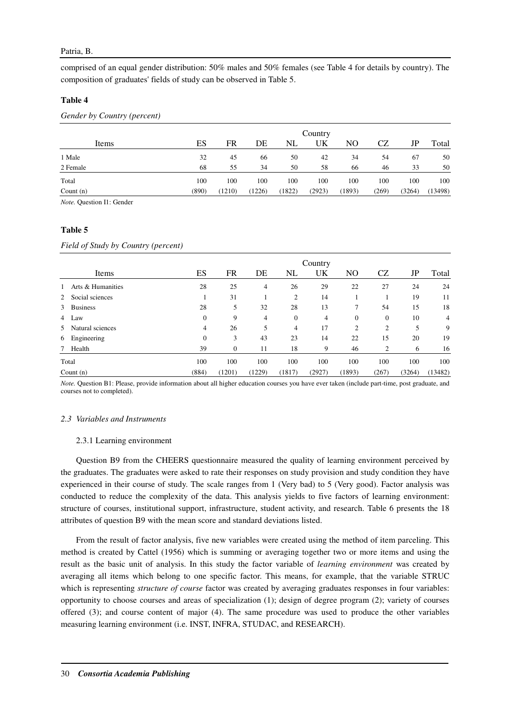### Patria, B.

comprised of an equal gender distribution: 50% males and 50% females (see Table 4 for details by country). The composition of graduates' fields of study can be observed in Table 5.

### **Table 4**

*Gender by Country (percent)* 

|             |       |        |        |        | Country |                |           |             |         |
|-------------|-------|--------|--------|--------|---------|----------------|-----------|-------------|---------|
| Items       | ES    | FR     | DE     | NL     | UK      | N <sub>O</sub> | <b>CZ</b> | $_{\rm JP}$ | Total   |
| 1 Male      | 32    | 45     | 66     | 50     | 42      | 34             | 54        | 67          | 50      |
| 2 Female    | 68    | 55     | 34     | 50     | 58      | 66             | 46        | 33          | 50      |
| Total       | 100   | 100    | 100    | 100    | 100     | 100            | 100       | 100         | 100     |
| Count $(n)$ | (890) | (1210) | (1226) | (1822) | (2923)  | (1893)         | (269)     | (3264)      | (13498) |

*Note.* Question I1: Gender

#### **Table 5**

*Field of Study by Country (percent)* 

|   | Items             | ES       | FR           | DE             | NL             | Country<br>UK | NO.            | CZ               | JP     | Total   |
|---|-------------------|----------|--------------|----------------|----------------|---------------|----------------|------------------|--------|---------|
|   | Arts & Humanities | 28       | 25           | 4              | 26             | 29            | 22             | 27               | 24     | 24      |
| 2 | Social sciences   |          | 31           |                | $\overline{c}$ | 14            |                |                  | 19     | 11      |
| 3 | <b>Business</b>   | 28       | 5            | 32             | 28             | 13            | 7              | 54               | 15     | 18      |
|   | 4 Law             | $\theta$ | 9            | $\overline{4}$ | $\mathbf{0}$   | 4             | $\mathbf{0}$   | $\boldsymbol{0}$ | 10     | 4       |
| 5 | Natural sciences  | 4        | 26           | 5              | 4              | 17            | $\overline{2}$ | $\overline{2}$   | 5      | 9       |
|   | 6 Engineering     | $\theta$ | 3            | 43             | 23             | 14            | 22             | 15               | 20     | 19      |
|   | 7 Health          | 39       | $\mathbf{0}$ | 11             | 18             | 9             | 46             | 2                | 6      | 16      |
|   | Total             | 100      | 100          | 100            | 100            | 100           | 100            | 100              | 100    | 100     |
|   | Count $(n)$       | (884)    | (1201)       | (1229)         | (1817)         | (2927)        | (1893)         | (267)            | (3264) | (13482) |

*Note.* Question B1: Please, provide information about all higher education courses you have ever taken (include part-time, post graduate, and courses not to completed).

#### *2.3 Variables and Instruments*

#### 2.3.1 Learning environment

Question B9 from the CHEERS questionnaire measured the quality of learning environment perceived by the graduates. The graduates were asked to rate their responses on study provision and study condition they have experienced in their course of study. The scale ranges from 1 (Very bad) to 5 (Very good). Factor analysis was conducted to reduce the complexity of the data. This analysis yields to five factors of learning environment: structure of courses, institutional support, infrastructure, student activity, and research. Table 6 presents the 18 attributes of question B9 with the mean score and standard deviations listed.

From the result of factor analysis, five new variables were created using the method of item parceling. This method is created by Cattel (1956) which is summing or averaging together two or more items and using the result as the basic unit of analysis. In this study the factor variable of *learning environment* was created by averaging all items which belong to one specific factor. This means, for example, that the variable STRUC which is representing *structure of course* factor was created by averaging graduates responses in four variables: opportunity to choose courses and areas of specialization (1); design of degree program (2); variety of courses offered (3); and course content of major (4). The same procedure was used to produce the other variables measuring learning environment (i.e. INST, INFRA, STUDAC, and RESEARCH).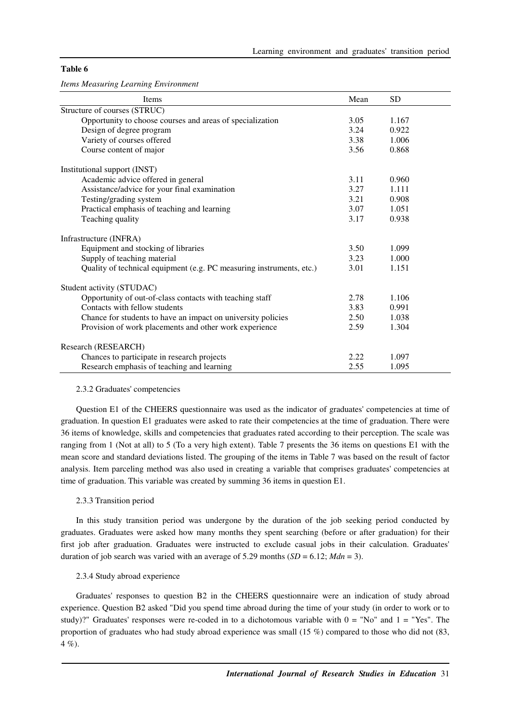### **Table 6**

*Items Measuring Learning Environment* 

| Items                                                                | Mean | <b>SD</b> |
|----------------------------------------------------------------------|------|-----------|
| Structure of courses (STRUC)                                         |      |           |
| Opportunity to choose courses and areas of specialization            | 3.05 | 1.167     |
| Design of degree program                                             | 3.24 | 0.922     |
| Variety of courses offered                                           | 3.38 | 1.006     |
| Course content of major                                              | 3.56 | 0.868     |
| Institutional support (INST)                                         |      |           |
| Academic advice offered in general                                   | 3.11 | 0.960     |
| Assistance/advice for your final examination                         | 3.27 | 1.111     |
| Testing/grading system                                               | 3.21 | 0.908     |
| Practical emphasis of teaching and learning                          | 3.07 | 1.051     |
| Teaching quality                                                     | 3.17 | 0.938     |
| Infrastructure (INFRA)                                               |      |           |
| Equipment and stocking of libraries                                  | 3.50 | 1.099     |
| Supply of teaching material                                          | 3.23 | 1.000     |
| Quality of technical equipment (e.g. PC measuring instruments, etc.) | 3.01 | 1.151     |
| Student activity (STUDAC)                                            |      |           |
| Opportunity of out-of-class contacts with teaching staff             | 2.78 | 1.106     |
| Contacts with fellow students                                        | 3.83 | 0.991     |
| Chance for students to have an impact on university policies         | 2.50 | 1.038     |
| Provision of work placements and other work experience               | 2.59 | 1.304     |
| Research (RESEARCH)                                                  |      |           |
| Chances to participate in research projects                          | 2.22 | 1.097     |
| Research emphasis of teaching and learning                           | 2.55 | 1.095     |

#### 2.3.2 Graduates' competencies

Question E1 of the CHEERS questionnaire was used as the indicator of graduates' competencies at time of graduation. In question E1 graduates were asked to rate their competencies at the time of graduation. There were 36 items of knowledge, skills and competencies that graduates rated according to their perception. The scale was ranging from 1 (Not at all) to 5 (To a very high extent). Table 7 presents the 36 items on questions E1 with the mean score and standard deviations listed. The grouping of the items in Table 7 was based on the result of factor analysis. Item parceling method was also used in creating a variable that comprises graduates' competencies at time of graduation. This variable was created by summing 36 items in question E1.

#### 2.3.3 Transition period

In this study transition period was undergone by the duration of the job seeking period conducted by graduates. Graduates were asked how many months they spent searching (before or after graduation) for their first job after graduation. Graduates were instructed to exclude casual jobs in their calculation. Graduates' duration of job search was varied with an average of 5.29 months  $(SD = 6.12; Mdn = 3)$ .

#### 2.3.4 Study abroad experience

Graduates' responses to question B2 in the CHEERS questionnaire were an indication of study abroad experience. Question B2 asked "Did you spend time abroad during the time of your study (in order to work or to study)?" Graduates' responses were re-coded in to a dichotomous variable with  $0 = "No"$  and  $1 = "Yes".$  The proportion of graduates who had study abroad experience was small (15 %) compared to those who did not (83,  $4\%$ ).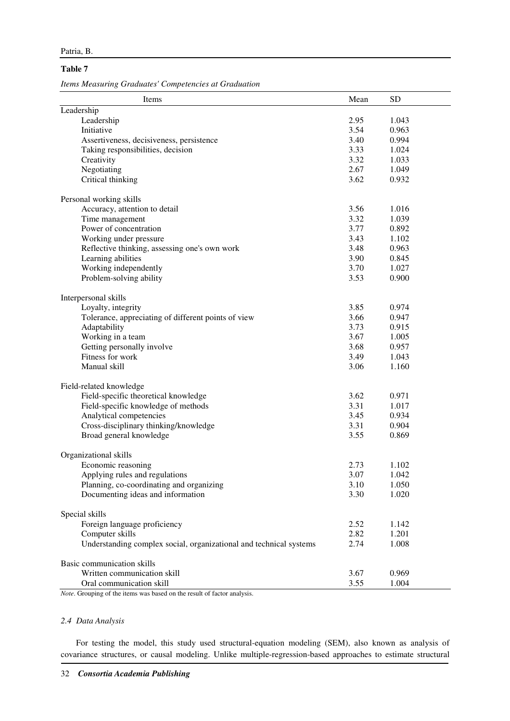### **Table 7**

*Items Measuring Graduates' Competencies at Graduation* 

| Items                                                              | Mean | <b>SD</b> |
|--------------------------------------------------------------------|------|-----------|
| Leadership                                                         |      |           |
| Leadership                                                         | 2.95 | 1.043     |
| Initiative                                                         | 3.54 | 0.963     |
| Assertiveness, decisiveness, persistence                           | 3.40 | 0.994     |
| Taking responsibilities, decision                                  | 3.33 | 1.024     |
| Creativity                                                         | 3.32 | 1.033     |
| Negotiating                                                        | 2.67 | 1.049     |
| Critical thinking                                                  | 3.62 | 0.932     |
| Personal working skills                                            |      |           |
| Accuracy, attention to detail                                      | 3.56 | 1.016     |
| Time management                                                    | 3.32 | 1.039     |
| Power of concentration                                             | 3.77 | 0.892     |
| Working under pressure                                             | 3.43 | 1.102     |
| Reflective thinking, assessing one's own work                      | 3.48 | 0.963     |
| Learning abilities                                                 | 3.90 | 0.845     |
| Working independently                                              | 3.70 | 1.027     |
| Problem-solving ability                                            | 3.53 | 0.900     |
| Interpersonal skills                                               |      |           |
| Loyalty, integrity                                                 | 3.85 | 0.974     |
| Tolerance, appreciating of different points of view                | 3.66 | 0.947     |
| Adaptability                                                       | 3.73 | 0.915     |
| Working in a team                                                  | 3.67 | 1.005     |
| Getting personally involve                                         | 3.68 | 0.957     |
| Fitness for work                                                   | 3.49 | 1.043     |
| Manual skill                                                       | 3.06 | 1.160     |
| Field-related knowledge                                            |      |           |
| Field-specific theoretical knowledge                               | 3.62 | 0.971     |
| Field-specific knowledge of methods                                | 3.31 | 1.017     |
| Analytical competencies                                            | 3.45 | 0.934     |
| Cross-disciplinary thinking/knowledge                              | 3.31 | 0.904     |
| Broad general knowledge                                            | 3.55 | 0.869     |
| Organizational skills                                              |      |           |
| Economic reasoning                                                 | 2.73 | 1.102     |
| Applying rules and regulations                                     | 3.07 | 1.042     |
| Planning, co-coordinating and organizing                           | 3.10 | 1.050     |
| Documenting ideas and information                                  | 3.30 | 1.020     |
| Special skills                                                     |      |           |
| Foreign language proficiency                                       | 2.52 | 1.142     |
| Computer skills                                                    | 2.82 | 1.201     |
| Understanding complex social, organizational and technical systems | 2.74 | 1.008     |
| Basic communication skills                                         |      |           |
| Written communication skill                                        | 3.67 | 0.969     |
| Oral communication skill                                           | 3.55 | 1.004     |

*Note*. Grouping of the items was based on the result of factor analysis.

## *2.4 Data Analysis*

For testing the model, this study used structural-equation modeling (SEM), also known as analysis of covariance structures, or causal modeling. Unlike multiple-regression-based approaches to estimate structural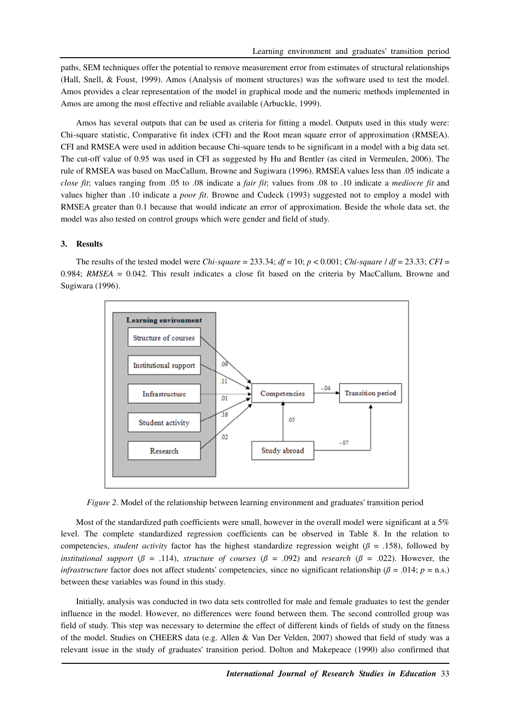paths, SEM techniques offer the potential to remove measurement error from estimates of structural relationships (Hall, Snell, & Foust, 1999). Amos (Analysis of moment structures) was the software used to test the model. Amos provides a clear representation of the model in graphical mode and the numeric methods implemented in Amos are among the most effective and reliable available (Arbuckle, 1999).

Amos has several outputs that can be used as criteria for fitting a model. Outputs used in this study were: Chi-square statistic, Comparative fit index (CFI) and the Root mean square error of approximation (RMSEA). CFI and RMSEA were used in addition because Chi-square tends to be significant in a model with a big data set. The cut-off value of 0.95 was used in CFI as suggested by Hu and Bentler (as cited in Vermeulen, 2006). The rule of RMSEA was based on MacCallum, Browne and Sugiwara (1996). RMSEA values less than .05 indicate a *close fit*; values ranging from .05 to .08 indicate a *fair fit*; values from .08 to .10 indicate a *mediocre fit* and values higher than .10 indicate a *poor fit*. Browne and Cudeck (1993) suggested not to employ a model with RMSEA greater than 0.1 because that would indicate an error of approximation. Beside the whole data set, the model was also tested on control groups which were gender and field of study.

#### **3. Results**

The results of the tested model were *Chi-square* = 233.34;  $df = 10$ ;  $p < 0.001$ ; *Chi-square* /  $df = 23.33$ ; *CFI* = 0.984; *RMSEA* = 0.042. This result indicates a close fit based on the criteria by MacCallum, Browne and Sugiwara (1996).



*Figure 2*. Model of the relationship between learning environment and graduates' transition period

Most of the standardized path coefficients were small, however in the overall model were significant at a 5% level. The complete standardized regression coefficients can be observed in Table 8. In the relation to competencies, *student activity* factor has the highest standardize regression weight ( $\beta$  = .158), followed by *institutional support* ( $\beta$  = .114), *structure of courses* ( $\beta$  = .092) and *research* ( $\beta$  = .022). However, the *infrastructure* factor does not affect students' competencies, since no significant relationship ( $\beta$  = .014;  $p$  = n.s.) between these variables was found in this study.

Initially, analysis was conducted in two data sets controlled for male and female graduates to test the gender influence in the model. However, no differences were found between them. The second controlled group was field of study. This step was necessary to determine the effect of different kinds of fields of study on the fitness of the model. Studies on CHEERS data (e.g. Allen & Van Der Velden, 2007) showed that field of study was a relevant issue in the study of graduates' transition period. Dolton and Makepeace (1990) also confirmed that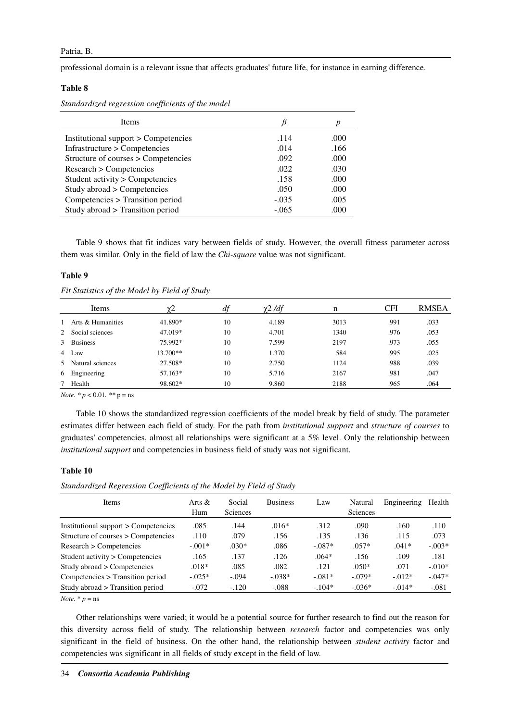professional domain is a relevant issue that affects graduates' future life, for instance in earning difference.

### **Table 8**

*Standardized regression coefficients of the model* 

| <b>Items</b>                         |         | p    |
|--------------------------------------|---------|------|
| Institutional support > Competencies | .114    | .000 |
| Infrastructure > Competencies        | .014    | .166 |
| Structure of courses > Competencies  | .092    | .000 |
| Research > Competencies              | .022    | .030 |
| Student activity > Competencies      | .158    | .000 |
| Study abroad > Competencies          | .050    | .000 |
| Competencies > Transition period     | $-.035$ | .005 |
| Study abroad > Transition period     | $-.065$ | .000 |

Table 9 shows that fit indices vary between fields of study. However, the overall fitness parameter across them was similar. Only in the field of law the *Chi-square* value was not significant.

### **Table 9**

| Fit Statistics of the Model by Field of Study |  |  |  |  |
|-----------------------------------------------|--|--|--|--|
|-----------------------------------------------|--|--|--|--|

| Items               | YΖ         |    | $\chi$ 2 /df | n    | <b>CFI</b> | <b>RMSEA</b> |
|---------------------|------------|----|--------------|------|------------|--------------|
| 1 Arts & Humanities | 41.890*    | 10 | 4.189        | 3013 | .991       | .033         |
| 2 Social sciences   | 47.019*    | 10 | 4.701        | 1340 | .976       | .053         |
| 3 Business          | 75.992*    | 10 | 7.599        | 2197 | .973       | .055         |
| 4 Law               | $13.700**$ | 10 | 1.370        | 584  | .995       | .025         |
| 5 Natural sciences  | 27.508*    | 10 | 2.750        | 1124 | .988       | .039         |
| 6 Engineering       | 57.163*    | 10 | 5.716        | 2167 | .981       | .047         |
| Health              | 98.602*    | 10 | 9.860        | 2188 | .965       | .064         |

*Note. \* p* < 0.01*. \*\** p = ns

Table 10 shows the standardized regression coefficients of the model break by field of study. The parameter estimates differ between each field of study. For the path from *institutional support* and *structure of courses* to graduates' competencies, almost all relationships were significant at a 5% level. Only the relationship between *institutional support* and competencies in business field of study was not significant.

#### **Table 10**

| <b>Items</b>                         | Arts $\&$<br>Hum | Social<br><b>Sciences</b> | <b>Business</b> | Law      | Natural<br><b>Sciences</b> | Engineering | Health   |
|--------------------------------------|------------------|---------------------------|-----------------|----------|----------------------------|-------------|----------|
| Institutional support > Competencies | .085             | .144                      | $.016*$         | .312     | .090                       | .160        | .110     |
| Structure of courses > Competencies  | .110             | .079                      | .156            | .135     | .136                       | .115        | .073     |
| Research > Competencies              | $-.001*$         | $.030*$                   | .086            | $-.087*$ | $.057*$                    | $.041*$     | $-.003*$ |
| Student activity > Competencies      | .165             | .137                      | .126            | $.064*$  | .156                       | .109        | .181     |
| Study abroad > Competencies          | $.018*$          | .085                      | .082            | .121     | $.050*$                    | .071        | $-.010*$ |
| Competencies > Transition period     | $-0.025*$        | $-.094$                   | $-.038*$        | $-.081*$ | $-.079*$                   | $-0.012*$   | $-.047*$ |
| Study abroad > Transition period     | $-.072$          | $-.120$                   | $-.088$         | $-104*$  | $-.036*$                   | $-.014*$    | $-.081$  |
|                                      |                  |                           |                 |          |                            |             |          |

*Note*.  $* p = ns$ 

Other relationships were varied; it would be a potential source for further research to find out the reason for this diversity across field of study. The relationship between *research* factor and competencies was only significant in the field of business. On the other hand, the relationship between *student activity* factor and competencies was significant in all fields of study except in the field of law.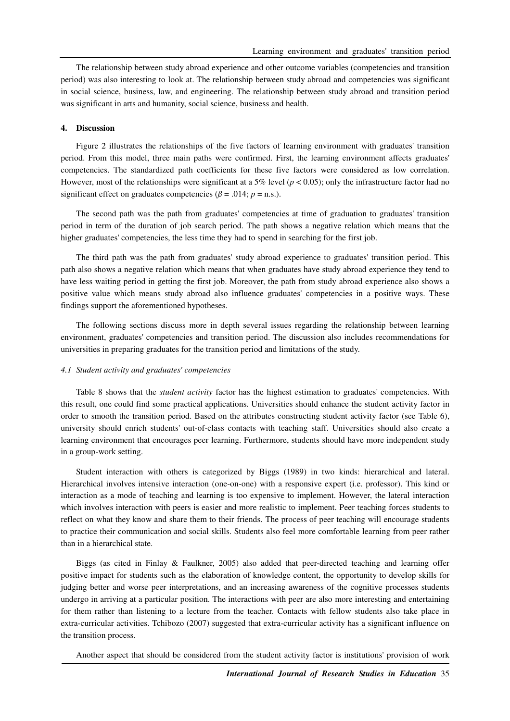The relationship between study abroad experience and other outcome variables (competencies and transition period) was also interesting to look at. The relationship between study abroad and competencies was significant in social science, business, law, and engineering. The relationship between study abroad and transition period was significant in arts and humanity, social science, business and health.

### **4. Discussion**

Figure 2 illustrates the relationships of the five factors of learning environment with graduates' transition period. From this model, three main paths were confirmed. First, the learning environment affects graduates' competencies. The standardized path coefficients for these five factors were considered as low correlation. However, most of the relationships were significant at a 5% level ( $p < 0.05$ ); only the infrastructure factor had no significant effect on graduates competencies ( $\beta$  = .014;  $p$  = n.s.).

The second path was the path from graduates' competencies at time of graduation to graduates' transition period in term of the duration of job search period. The path shows a negative relation which means that the higher graduates' competencies, the less time they had to spend in searching for the first job.

The third path was the path from graduates' study abroad experience to graduates' transition period. This path also shows a negative relation which means that when graduates have study abroad experience they tend to have less waiting period in getting the first job. Moreover, the path from study abroad experience also shows a positive value which means study abroad also influence graduates' competencies in a positive ways. These findings support the aforementioned hypotheses.

The following sections discuss more in depth several issues regarding the relationship between learning environment, graduates' competencies and transition period. The discussion also includes recommendations for universities in preparing graduates for the transition period and limitations of the study.

#### *4.1 Student activity and graduates' competencies*

Table 8 shows that the *student activity* factor has the highest estimation to graduates' competencies. With this result, one could find some practical applications. Universities should enhance the student activity factor in order to smooth the transition period. Based on the attributes constructing student activity factor (see Table 6), university should enrich students' out-of-class contacts with teaching staff. Universities should also create a learning environment that encourages peer learning. Furthermore, students should have more independent study in a group-work setting.

Student interaction with others is categorized by Biggs (1989) in two kinds: hierarchical and lateral. Hierarchical involves intensive interaction (one-on-one) with a responsive expert (i.e. professor). This kind or interaction as a mode of teaching and learning is too expensive to implement. However, the lateral interaction which involves interaction with peers is easier and more realistic to implement. Peer teaching forces students to reflect on what they know and share them to their friends. The process of peer teaching will encourage students to practice their communication and social skills. Students also feel more comfortable learning from peer rather than in a hierarchical state.

Biggs (as cited in Finlay & Faulkner, 2005) also added that peer-directed teaching and learning offer positive impact for students such as the elaboration of knowledge content, the opportunity to develop skills for judging better and worse peer interpretations, and an increasing awareness of the cognitive processes students undergo in arriving at a particular position. The interactions with peer are also more interesting and entertaining for them rather than listening to a lecture from the teacher. Contacts with fellow students also take place in extra-curricular activities. Tchibozo (2007) suggested that extra-curricular activity has a significant influence on the transition process.

Another aspect that should be considered from the student activity factor is institutions' provision of work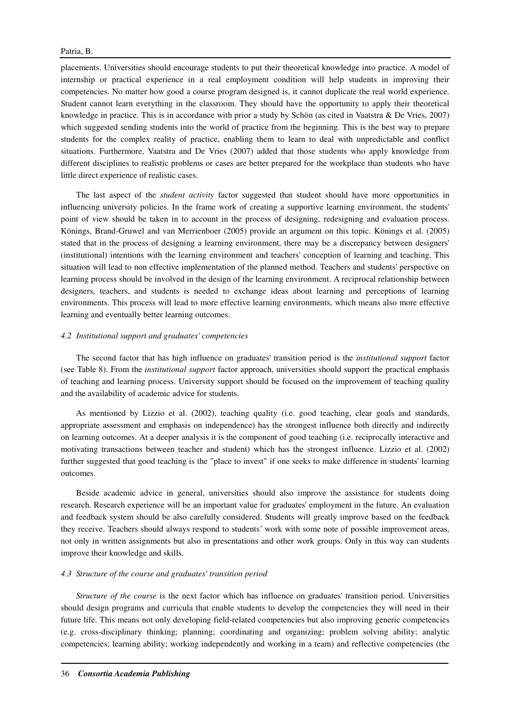placements. Universities should encourage students to put their theoretical knowledge into practice. A model of internship or practical experience in a real employment condition will help students in improving their competencies. No matter how good a course program designed is, it cannot duplicate the real world experience. Student cannot learn everything in the classroom. They should have the opportunity to apply their theoretical knowledge in practice. This is in accordance with prior a study by Schön (as cited in Vaatstra & De Vries, 2007) which suggested sending students into the world of practice from the beginning. This is the best way to prepare students for the complex reality of practice, enabling them to learn to deal with unpredictable and conflict situations. Furthermore, Vaatstra and De Vries (2007) added that those students who apply knowledge from different disciplines to realistic problems or cases are better prepared for the workplace than students who have little direct experience of realistic cases.

The last aspect of the *student activity* factor suggested that student should have more opportunities in influencing university policies. In the frame work of creating a supportive learning environment, the students' point of view should be taken in to account in the process of designing, redesigning and evaluation process. Könings, Brand-Gruwel and van Merrienboer (2005) provide an argument on this topic. Könings et al. (2005) stated that in the process of designing a learning environment, there may be a discrepancy between designers' (institutional) intentions with the learning environment and teachers' conception of learning and teaching. This situation will lead to non effective implementation of the planned method. Teachers and students' perspective on learning process should be involved in the design of the learning environment. A reciprocal relationship between designers, teachers, and students is needed to exchange ideas about learning and perceptions of learning environments. This process will lead to more effective learning environments, which means also more effective learning and eventually better learning outcomes.

#### *4.2 Institutional support and graduates' competencies*

The second factor that has high influence on graduates' transition period is the *institutional support* factor (see Table 8). From the *institutional support* factor approach, universities should support the practical emphasis of teaching and learning process. University support should be focused on the improvement of teaching quality and the availability of academic advice for students.

As mentioned by Lizzio et al. (2002), teaching quality (i.e. good teaching, clear goals and standards, appropriate assessment and emphasis on independence) has the strongest influence both directly and indirectly on learning outcomes. At a deeper analysis it is the component of good teaching (i.e. reciprocally interactive and motivating transactions between teacher and student) which has the strongest influence. Lizzio et al. (2002) further suggested that good teaching is the "place to invest" if one seeks to make difference in students' learning outcomes.

Beside academic advice in general, universities should also improve the assistance for students doing research. Research experience will be an important value for graduates' employment in the future. An evaluation and feedback system should be also carefully considered. Students will greatly improve based on the feedback they receive. Teachers should always respond to students' work with some note of possible improvement areas, not only in written assignments but also in presentations and other work groups. Only in this way can students improve their knowledge and skills.

#### *4.3 Structure of the course and graduates' transition period*

*Structure of the course* is the next factor which has influence on graduates' transition period. Universities should design programs and curricula that enable students to develop the competencies they will need in their future life. This means not only developing field-related competencies but also improving generic competencies (e.g. cross-disciplinary thinking; planning; coordinating and organizing; problem solving ability; analytic competencies; learning ability; working independently and working in a team) and reflective competencies (the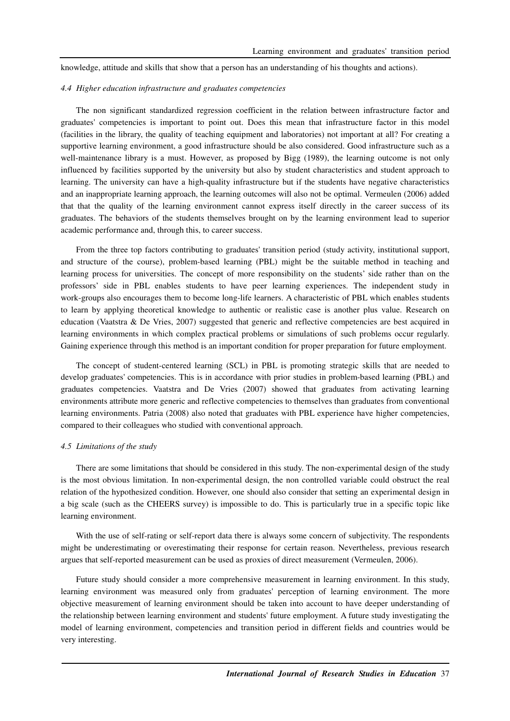knowledge, attitude and skills that show that a person has an understanding of his thoughts and actions).

#### *4.4 Higher education infrastructure and graduates competencies*

The non significant standardized regression coefficient in the relation between infrastructure factor and graduates' competencies is important to point out. Does this mean that infrastructure factor in this model (facilities in the library, the quality of teaching equipment and laboratories) not important at all? For creating a supportive learning environment, a good infrastructure should be also considered. Good infrastructure such as a well-maintenance library is a must. However, as proposed by Bigg (1989), the learning outcome is not only influenced by facilities supported by the university but also by student characteristics and student approach to learning. The university can have a high-quality infrastructure but if the students have negative characteristics and an inappropriate learning approach, the learning outcomes will also not be optimal. Vermeulen (2006) added that that the quality of the learning environment cannot express itself directly in the career success of its graduates. The behaviors of the students themselves brought on by the learning environment lead to superior academic performance and, through this, to career success.

From the three top factors contributing to graduates' transition period (study activity, institutional support, and structure of the course), problem-based learning (PBL) might be the suitable method in teaching and learning process for universities. The concept of more responsibility on the students' side rather than on the professors' side in PBL enables students to have peer learning experiences. The independent study in work-groups also encourages them to become long-life learners. A characteristic of PBL which enables students to learn by applying theoretical knowledge to authentic or realistic case is another plus value. Research on education (Vaatstra & De Vries, 2007) suggested that generic and reflective competencies are best acquired in learning environments in which complex practical problems or simulations of such problems occur regularly. Gaining experience through this method is an important condition for proper preparation for future employment.

The concept of student-centered learning (SCL) in PBL is promoting strategic skills that are needed to develop graduates' competencies. This is in accordance with prior studies in problem-based learning (PBL) and graduates competencies. Vaatstra and De Vries (2007) showed that graduates from activating learning environments attribute more generic and reflective competencies to themselves than graduates from conventional learning environments. Patria (2008) also noted that graduates with PBL experience have higher competencies, compared to their colleagues who studied with conventional approach.

#### *4.5 Limitations of the study*

There are some limitations that should be considered in this study. The non-experimental design of the study is the most obvious limitation. In non-experimental design, the non controlled variable could obstruct the real relation of the hypothesized condition. However, one should also consider that setting an experimental design in a big scale (such as the CHEERS survey) is impossible to do. This is particularly true in a specific topic like learning environment.

With the use of self-rating or self-report data there is always some concern of subjectivity. The respondents might be underestimating or overestimating their response for certain reason. Nevertheless, previous research argues that self-reported measurement can be used as proxies of direct measurement (Vermeulen, 2006).

Future study should consider a more comprehensive measurement in learning environment. In this study, learning environment was measured only from graduates' perception of learning environment. The more objective measurement of learning environment should be taken into account to have deeper understanding of the relationship between learning environment and students' future employment. A future study investigating the model of learning environment, competencies and transition period in different fields and countries would be very interesting.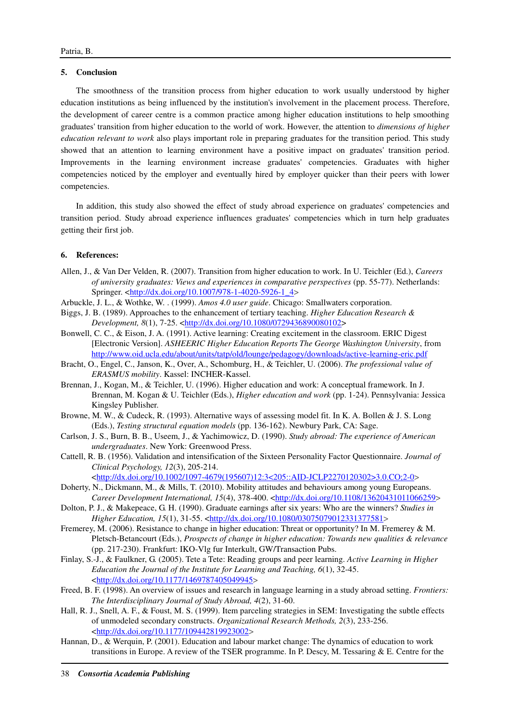#### **5. Conclusion**

The smoothness of the transition process from higher education to work usually understood by higher education institutions as being influenced by the institution's involvement in the placement process. Therefore, the development of career centre is a common practice among higher education institutions to help smoothing graduates' transition from higher education to the world of work. However, the attention to *dimensions of higher education relevant to work* also plays important role in preparing graduates for the transition period. This study showed that an attention to learning environment have a positive impact on graduates' transition period. Improvements in the learning environment increase graduates' competencies. Graduates with higher competencies noticed by the employer and eventually hired by employer quicker than their peers with lower competencies.

In addition, this study also showed the effect of study abroad experience on graduates' competencies and transition period. Study abroad experience influences graduates' competencies which in turn help graduates getting their first job.

#### **6. References:**

- Allen, J., & Van Der Velden, R. (2007). Transition from higher education to work. In U. Teichler (Ed.), *Careers of university graduates: Views and experiences in comparative perspectives* (pp. 55-77). Netherlands: Springer. <http://dx.doi.org/10.1007/978-1-4020-5926-1\_4>
- Arbuckle, J. L., & Wothke, W. . (1999). *Amos 4.0 user guide*. Chicago: Smallwaters corporation.
- Biggs, J. B. (1989). Approaches to the enhancement of tertiary teaching. *Higher Education Research & Development, 8*(1), 7-25. <http://dx.doi.org/10.1080/0729436890080102>
- Bonwell, C. C., & Eison, J. A. (1991). Active learning: Creating excitement in the classroom. ERIC Digest [Electronic Version]. *ASHEERIC Higher Education Reports The George Washington University*, from http://www.oid.ucla.edu/about/units/tatp/old/lounge/pedagogy/downloads/active-learning-eric.pdf
- Bracht, O., Engel, C., Janson, K., Over, A., Schomburg, H., & Teichler, U. (2006). *The professional value of ERASMUS mobility*. Kassel: INCHER-Kassel.
- Brennan, J., Kogan, M., & Teichler, U. (1996). Higher education and work: A conceptual framework. In J. Brennan, M. Kogan & U. Teichler (Eds.), *Higher education and work* (pp. 1-24). Pennsylvania: Jessica Kingsley Publisher.
- Browne, M. W., & Cudeck, R. (1993). Alternative ways of assessing model fit. In K. A. Bollen & J. S. Long (Eds.), *Testing structural equation models* (pp. 136-162). Newbury Park, CA: Sage.
- Carlson, J. S., Burn, B. B., Useem, J., & Yachimowicz, D. (1990). *Study abroad: The experience of American undergraduates*. New York: Greenwood Press.
- Cattell, R. B. (1956). Validation and intensification of the Sixteen Personality Factor Questionnaire. *Journal of Clinical Psychology, 12*(3), 205-214.

<http://dx.doi.org/10.1002/1097-4679(195607)12:3<205::AID-JCLP2270120302>3.0.CO;2-0> Doherty, N., Dickmann, M., & Mills, T. (2010). Mobility attitudes and behaviours among young Europeans.

- Career Development International, 15(4), 378-400. <http://dx.doi.org/10.1108/13620431011066259>
- Dolton, P. J., & Makepeace, G. H. (1990). Graduate earnings after six years: Who are the winners? *Studies in Higher Education, 15*(1), 31-55. <*http://dx.doi.org/10.1080/03075079012331377581>*
- Fremerey, M. (2006). Resistance to change in higher education: Threat or opportunity? In M. Fremerey & M. Pletsch-Betancourt (Eds.), *Prospects of change in higher education: Towards new qualities & relevance* (pp. 217-230). Frankfurt: IKO-Vlg fur Interkult, GW/Transaction Pubs.
- Finlay, S.-J., & Faulkner, G. (2005). Tete a Tete: Reading groups and peer learning. *Active Learning in Higher Education the Journal of the Institute for Learning and Teaching, 6*(1), 32-45. <http://dx.doi.org/10.1177/1469787405049945>
- Freed, B. F. (1998). An overview of issues and research in language learning in a study abroad setting. *Frontiers: The Interdisciplinary Journal of Study Abroad, 4*(2), 31-60.
- Hall, R. J., Snell, A. F., & Foust, M. S. (1999). Item parceling strategies in SEM: Investigating the subtle effects of unmodeled secondary constructs. *Organizational Research Methods, 2*(3), 233-256. <http://dx.doi.org/10.1177/109442819923002>
- Hannan, D., & Werquin, P. (2001). Education and labour market change: The dynamics of education to work transitions in Europe. A review of the TSER programme. In P. Descy, M. Tessaring & E. Centre for the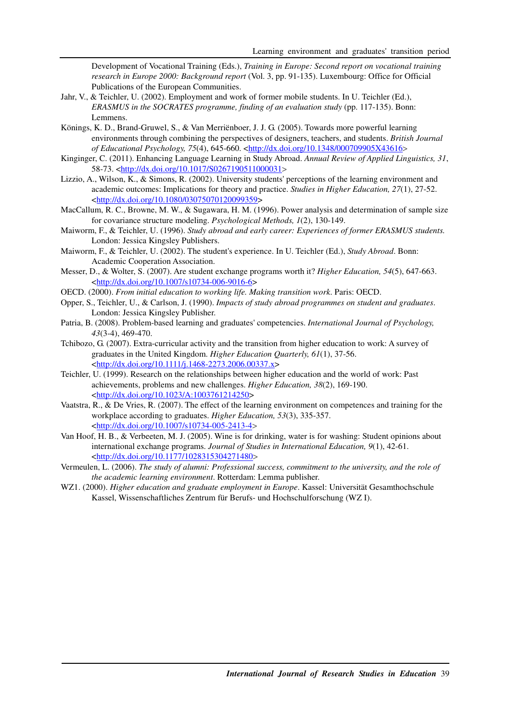Development of Vocational Training (Eds.), *Training in Europe: Second report on vocational training research in Europe 2000: Background report* (Vol. 3, pp. 91-135). Luxembourg: Office for Official Publications of the European Communities.

- Jahr, V., & Teichler, U. (2002). Employment and work of former mobile students. In U. Teichler (Ed.), *ERASMUS in the SOCRATES programme, finding of an evaluation study* (pp. 117-135). Bonn: Lemmens.
- Könings, K. D., Brand-Gruwel, S., & Van Merriënboer, J. J. G. (2005). Towards more powerful learning environments through combining the perspectives of designers, teachers, and students. *British Journal of Educational Psychology, 75*(4), 645-660. <http://dx.doi.org/10.1348/000709905X43616>
- Kinginger, C. (2011). Enhancing Language Learning in Study Abroad. *Annual Review of Applied Linguistics, 31*, 58-73. <http://dx.doi.org/10.1017/S0267190511000031>
- Lizzio, A., Wilson, K., & Simons, R. (2002). University students' perceptions of the learning environment and academic outcomes: Implications for theory and practice. *Studies in Higher Education, 27*(1), 27-52. <http://dx.doi.org/10.1080/03075070120099359>
- MacCallum, R. C., Browne, M. W., & Sugawara, H. M. (1996). Power analysis and determination of sample size for covariance structure modeling. *Psychological Methods, 1*(2), 130-149.
- Maiworm, F., & Teichler, U. (1996). *Study abroad and early career: Experiences of former ERASMUS students.* London: Jessica Kingsley Publishers.
- Maiworm, F., & Teichler, U. (2002). The student's experience. In U. Teichler (Ed.), *Study Abroad*. Bonn: Academic Cooperation Association.
- Messer, D., & Wolter, S. (2007). Are student exchange programs worth it? *Higher Education, 54*(5), 647-663. <http://dx.doi.org/10.1007/s10734-006-9016-6>
- OECD. (2000). *From initial education to working life. Making transition work*. Paris: OECD.
- Opper, S., Teichler, U., & Carlson, J. (1990). *Impacts of study abroad programmes on student and graduates*. London: Jessica Kingsley Publisher.
- Patria, B. (2008). Problem-based learning and graduates' competencies. *International Journal of Psychology, 43*(3-4), 469-470.
- Tchibozo, G. (2007). Extra-curricular activity and the transition from higher education to work: A survey of graduates in the United Kingdom. *Higher Education Quarterly, 61*(1), 37-56. <http://dx.doi.org/10.1111/j.1468-2273.2006.00337.x>
- Teichler, U. (1999). Research on the relationships between higher education and the world of work: Past achievements, problems and new challenges. *Higher Education, 38*(2), 169-190. <http://dx.doi.org/10.1023/A:1003761214250>
- Vaatstra, R., & De Vries, R. (2007). The effect of the learning environment on competences and training for the workplace according to graduates. *Higher Education, 53*(3), 335-357. <http://dx.doi.org/10.1007/s10734-005-2413-4>
- Van Hoof, H. B., & Verbeeten, M. J. (2005). Wine is for drinking, water is for washing: Student opinions about international exchange programs. *Journal of Studies in International Education, 9*(1), 42-61. <http://dx.doi.org/10.1177/1028315304271480>
- Vermeulen, L. (2006). *The study of alumni: Professional success, commitment to the university, and the role of the academic learning environment*. Rotterdam: Lemma publisher.
- WZ1. (2000). *Higher education and graduate employment in Europe*. Kassel: Universität Gesamthochschule Kassel, Wissenschaftliches Zentrum für Berufs- und Hochschulforschung (WZ I).